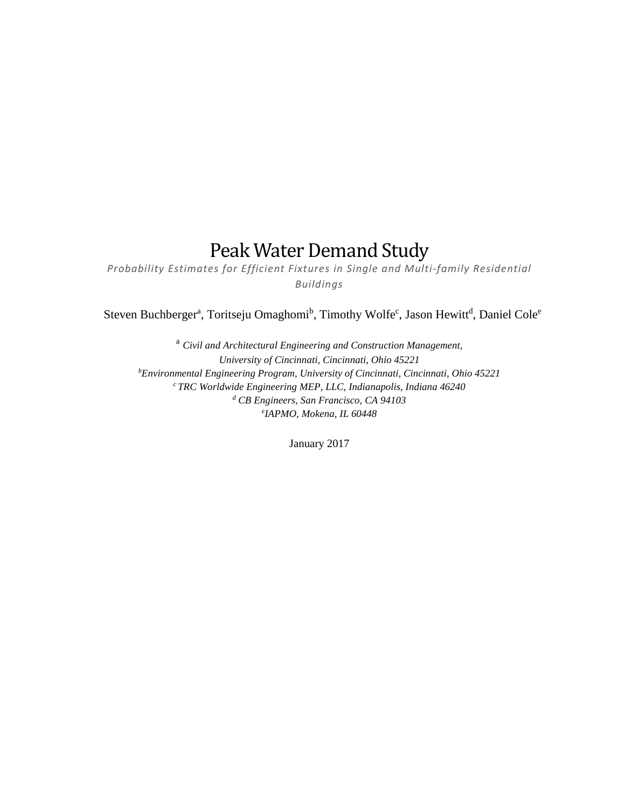## Peak Water Demand Study

*Probability Estimates for Efficient Fixtures in Single and Multi-family Residential Buildings*

Steven Buchberger<sup>a</sup>, Toritseju Omaghomi<sup>b</sup>, Timothy Wolfe<sup>c</sup>, Jason Hewitt<sup>d</sup>, Daniel Cole<sup>e</sup>

<sup>a</sup> *Civil and Architectural Engineering and Construction Management, University of Cincinnati, Cincinnati, Ohio 45221 b Environmental Engineering Program, University of Cincinnati, Cincinnati, Ohio 45221 c TRC Worldwide Engineering MEP, LLC, Indianapolis, Indiana 46240 <sup>d</sup> CB Engineers, San Francisco, CA 94103 e IAPMO, Mokena, IL 60448*

January 2017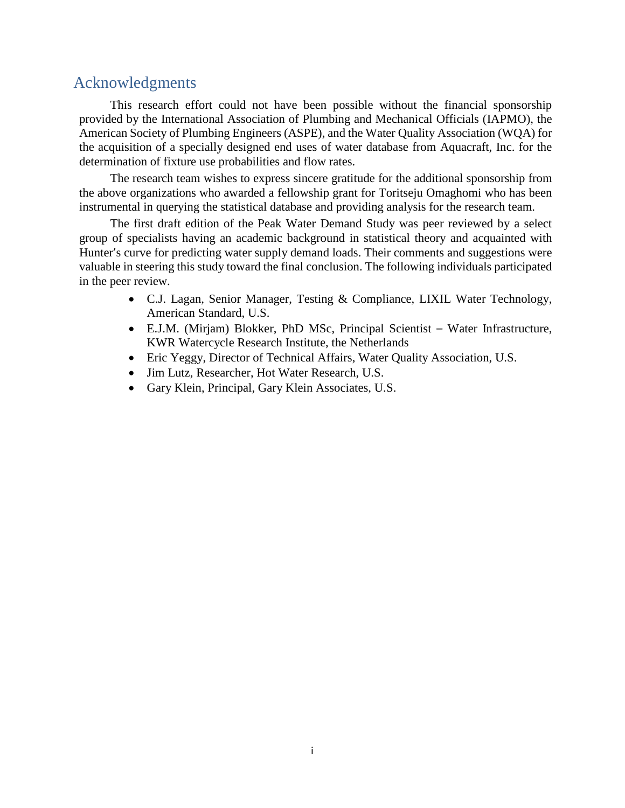### <span id="page-1-0"></span>Acknowledgments

This research effort could not have been possible without the financial sponsorship provided by the International Association of Plumbing and Mechanical Officials (IAPMO), the American Society of Plumbing Engineers (ASPE), and the Water Quality Association (WQA) for the acquisition of a specially designed end uses of water database from Aquacraft, Inc. for the determination of fixture use probabilities and flow rates.

The research team wishes to express sincere gratitude for the additional sponsorship from the above organizations who awarded a fellowship grant for Toritseju Omaghomi who has been instrumental in querying the statistical database and providing analysis for the research team.

The first draft edition of the Peak Water Demand Study was peer reviewed by a select group of specialists having an academic background in statistical theory and acquainted with Hunter's curve for predicting water supply demand loads. Their comments and suggestions were valuable in steering this study toward the final conclusion. The following individuals participated in the peer review.

- C.J. Lagan, Senior Manager, Testing & Compliance, LIXIL Water Technology, American Standard, U.S.
- E.J.M. (Mirjam) Blokker, PhD MSc, Principal Scientist Water Infrastructure, KWR Watercycle Research Institute, the Netherlands
- Eric Yeggy, Director of Technical Affairs, Water Quality Association, U.S.
- Jim Lutz, Researcher, Hot Water Research, U.S.
- Gary Klein, Principal, Gary Klein Associates, U.S.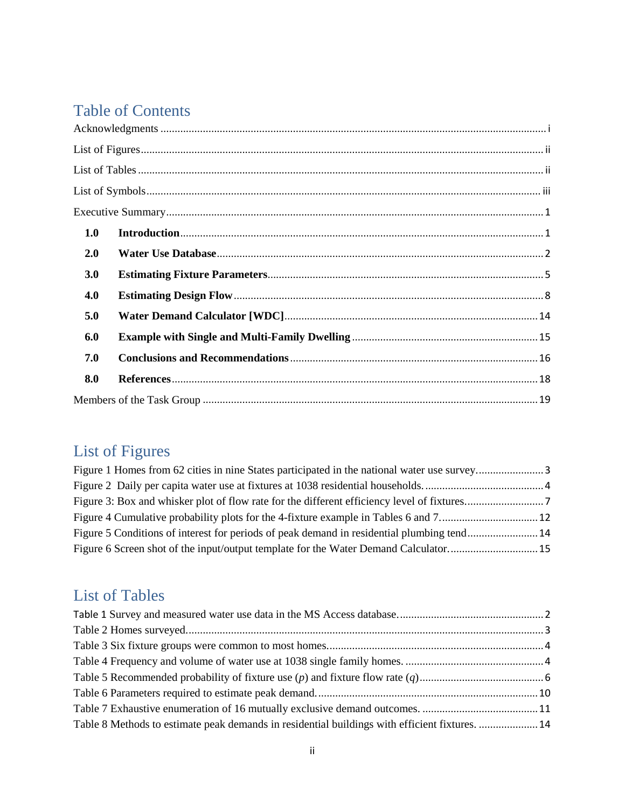## Table of Contents

| 1.0 |  |
|-----|--|
| 2.0 |  |
| 3.0 |  |
| 4.0 |  |
| 5.0 |  |
| 6.0 |  |
| 7.0 |  |
| 8.0 |  |
|     |  |

# <span id="page-2-0"></span>List of Figures

| Figure 5 Conditions of interest for periods of peak demand in residential plumbing tend14 |  |
|-------------------------------------------------------------------------------------------|--|
|                                                                                           |  |

## <span id="page-2-1"></span>List of Tables

| Table 8 Methods to estimate peak demands in residential buildings with efficient fixtures.  14 |  |
|------------------------------------------------------------------------------------------------|--|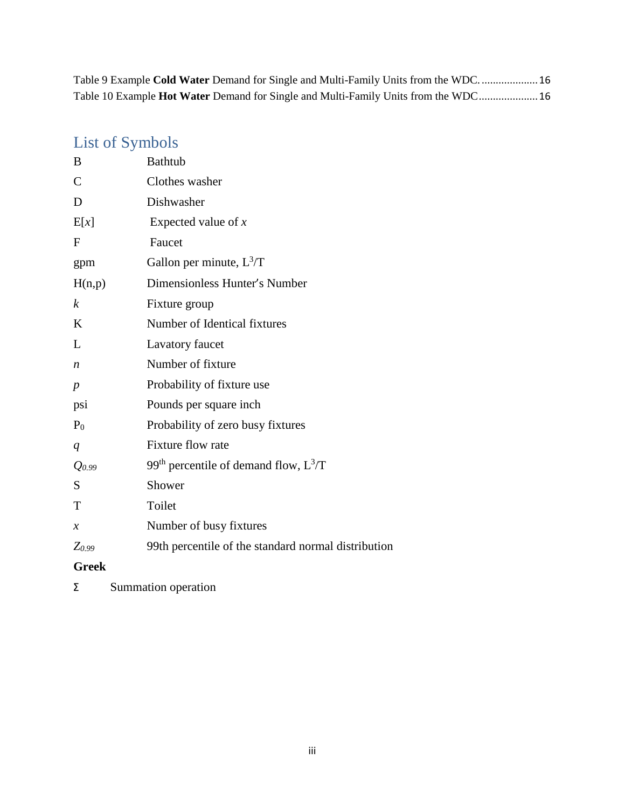Table 9 Example **Cold Water** [Demand for Single and Multi-Family Units from the WDC.](#page-19-1) ....................16 Table 10 Example **Hot Water** [Demand for Single and Multi-Family Units from the WDC](#page-19-2).....................16

### <span id="page-3-0"></span>List of Symbols

| B                 | <b>Bathtub</b>                                      |
|-------------------|-----------------------------------------------------|
| $\mathcal{C}$     | Clothes washer                                      |
| D                 | Dishwasher                                          |
| E[x]              | Expected value of $x$                               |
| $\mathbf F$       | Faucet                                              |
| gpm               | Gallon per minute, $L^3/T$                          |
| H(n,p)            | Dimensionless Hunter's Number                       |
| $\boldsymbol{k}$  | Fixture group                                       |
| K                 | Number of Identical fixtures                        |
| L                 | Lavatory faucet                                     |
| n                 | Number of fixture                                   |
| $\boldsymbol{p}$  | Probability of fixture use                          |
| psi               | Pounds per square inch                              |
| $P_0$             | Probability of zero busy fixtures                   |
| q                 | Fixture flow rate                                   |
| Q <sub>0.99</sub> | 99 <sup>th</sup> percentile of demand flow, $L^3/T$ |
| S                 | Shower                                              |
| T                 | Toilet                                              |
| $\mathcal{X}$     | Number of busy fixtures                             |
| $Z_{0.99}$        | 99th percentile of the standard normal distribution |
| <b>Greek</b>      |                                                     |

Σ Summation operation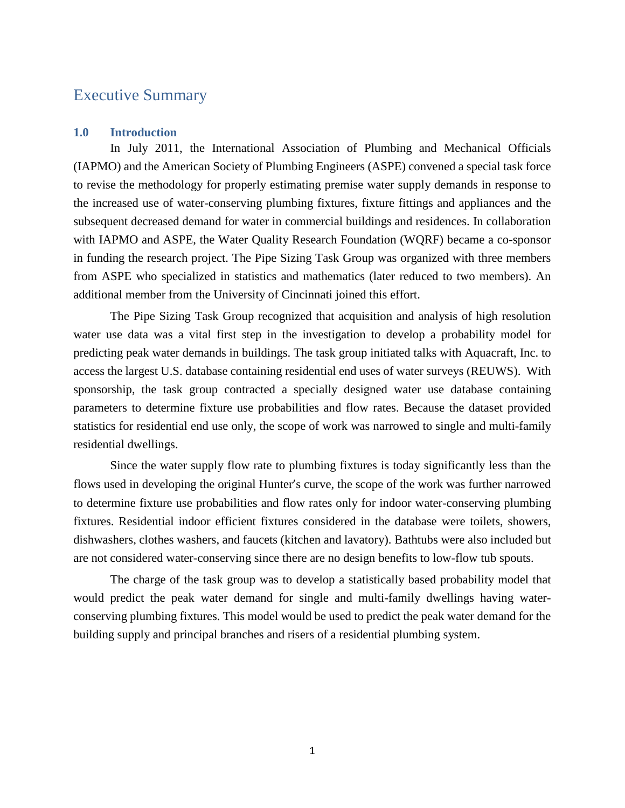### <span id="page-4-0"></span>Executive Summary

#### <span id="page-4-1"></span>**1.0 Introduction**

In July 2011, the International Association of Plumbing and Mechanical Officials (IAPMO) and the American Society of Plumbing Engineers (ASPE) convened a special task force to revise the methodology for properly estimating premise water supply demands in response to the increased use of water-conserving plumbing fixtures, fixture fittings and appliances and the subsequent decreased demand for water in commercial buildings and residences. In collaboration with IAPMO and ASPE, the Water Quality Research Foundation (WQRF) became a co-sponsor in funding the research project. The Pipe Sizing Task Group was organized with three members from ASPE who specialized in statistics and mathematics (later reduced to two members). An additional member from the University of Cincinnati joined this effort.

The Pipe Sizing Task Group recognized that acquisition and analysis of high resolution water use data was a vital first step in the investigation to develop a probability model for predicting peak water demands in buildings. The task group initiated talks with Aquacraft, Inc. to access the largest U.S. database containing residential end uses of water surveys (REUWS). With sponsorship, the task group contracted a specially designed water use database containing parameters to determine fixture use probabilities and flow rates. Because the dataset provided statistics for residential end use only, the scope of work was narrowed to single and multi-family residential dwellings.

Since the water supply flow rate to plumbing fixtures is today significantly less than the flows used in developing the original Hunter's curve, the scope of the work was further narrowed to determine fixture use probabilities and flow rates only for indoor water-conserving plumbing fixtures. Residential indoor efficient fixtures considered in the database were toilets, showers, dishwashers, clothes washers, and faucets (kitchen and lavatory). Bathtubs were also included but are not considered water-conserving since there are no design benefits to low-flow tub spouts.

The charge of the task group was to develop a statistically based probability model that would predict the peak water demand for single and multi-family dwellings having waterconserving plumbing fixtures. This model would be used to predict the peak water demand for the building supply and principal branches and risers of a residential plumbing system.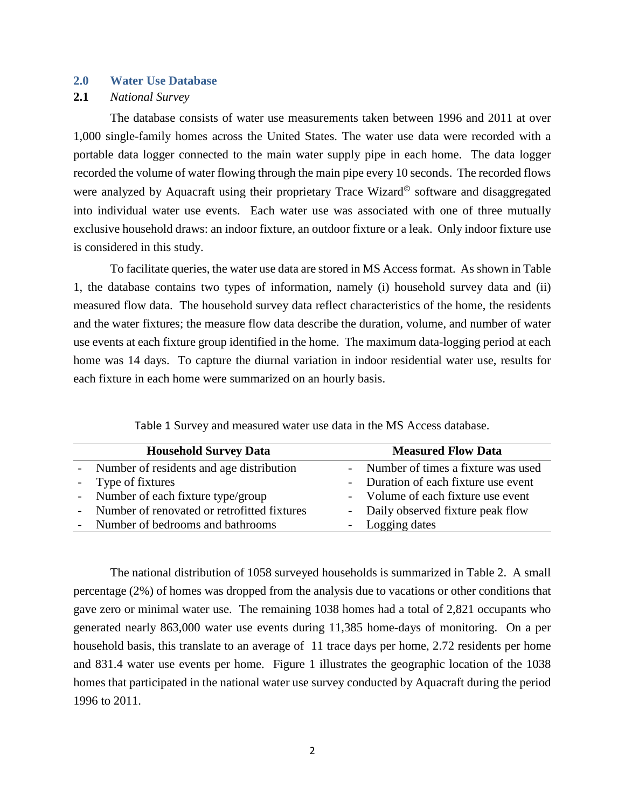#### <span id="page-5-0"></span>**2.0 Water Use Database**

#### **2.1** *National Survey*

The database consists of water use measurements taken between 1996 and 2011 at over 1,000 single-family homes across the United States. The water use data were recorded with a portable data logger connected to the main water supply pipe in each home. The data logger recorded the volume of water flowing through the main pipe every 10 seconds. The recorded flows were analyzed by Aquacraft using their proprietary Trace Wizard<sup>®</sup> software and disaggregated into individual water use events. Each water use was associated with one of three mutually exclusive household draws: an indoor fixture, an outdoor fixture or a leak. Only indoor fixture use is considered in this study.

To facilitate queries, the water use data are stored in MS Access format. As shown in Table 1, the database contains two types of information, namely (i) household survey data and (ii) measured flow data. The household survey data reflect characteristics of the home, the residents and the water fixtures; the measure flow data describe the duration, volume, and number of water use events at each fixture group identified in the home. The maximum data-logging period at each home was 14 days. To capture the diurnal variation in indoor residential water use, results for each fixture in each home were summarized on an hourly basis.

<span id="page-5-1"></span>

| <b>Household Survey Data</b>                  | <b>Measured Flow Data</b>            |
|-----------------------------------------------|--------------------------------------|
| - Number of residents and age distribution    | - Number of times a fixture was used |
| - Type of fixtures                            | - Duration of each fixture use event |
| - Number of each fixture type/group           | - Volume of each fixture use event   |
| - Number of renovated or retrofitted fixtures | - Daily observed fixture peak flow   |
| - Number of bedrooms and bathrooms            | - Logging dates                      |

Table 1 Survey and measured water use data in the MS Access database.

The national distribution of 1058 surveyed households is summarized in Table 2. A small percentage (2%) of homes was dropped from the analysis due to vacations or other conditions that gave zero or minimal water use. The remaining 1038 homes had a total of 2,821 occupants who generated nearly 863,000 water use events during 11,385 home-days of monitoring. On a per household basis, this translate to an average of 11 trace days per home, 2.72 residents per home and 831.4 water use events per home. Figure 1 illustrates the geographic location of the 1038 homes that participated in the national water use survey conducted by Aquacraft during the period 1996 to 2011.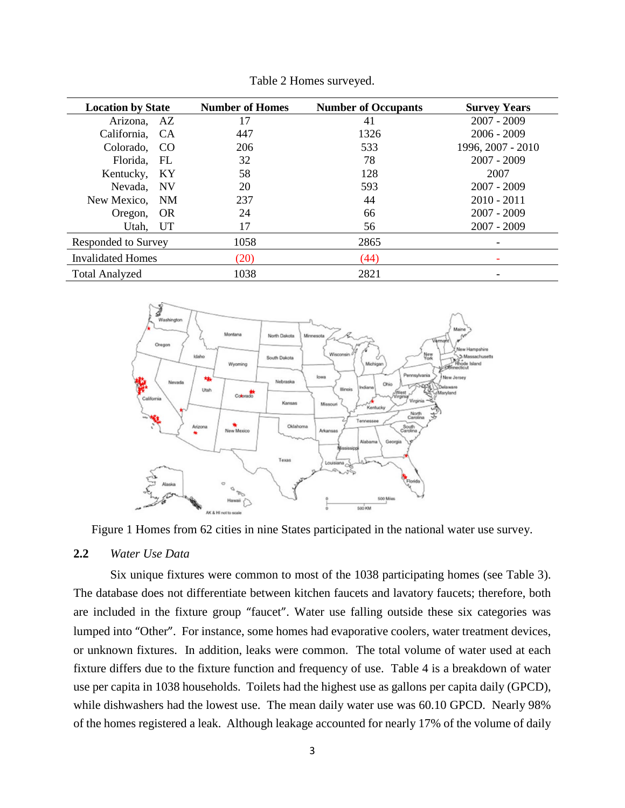<span id="page-6-1"></span>

| <b>Location by State</b> |                            | <b>Number of Homes</b> | <b>Number of Occupants</b> | <b>Survey Years</b> |
|--------------------------|----------------------------|------------------------|----------------------------|---------------------|
| Arizona, AZ              |                            | 17                     | 41                         | $2007 - 2009$       |
| California, CA           |                            | 447                    | 1326                       | $2006 - 2009$       |
| Colorado,                | - CO                       | 206                    | 533                        | 1996, 2007 - 2010   |
| Florida,                 | $\mathop{\rm FL}\nolimits$ | 32                     | 78                         | $2007 - 2009$       |
| Kentucky,                | KY                         | 58                     | 128                        | 2007                |
| Nevada,                  | <b>NV</b>                  | 20                     | 593                        | $2007 - 2009$       |
| New Mexico, NM           |                            | 237                    | 44                         | $2010 - 2011$       |
| <b>OR</b><br>Oregon,     |                            | 24                     | 66                         | $2007 - 2009$       |
| Utah,                    | <b>UT</b>                  | 17                     | 56                         | $2007 - 2009$       |
| Responded to Survey      |                            | 1058                   | 2865                       | -                   |
| <b>Invalidated Homes</b> |                            | (20)                   | (44)                       |                     |
| <b>Total Analyzed</b>    |                            | 1038                   | 2821                       |                     |

Table 2 Homes surveyed.



<span id="page-6-0"></span>Figure 1 Homes from 62 cities in nine States participated in the national water use survey.

#### **2.2** *Water Use Data*

Six unique fixtures were common to most of the 1038 participating homes (see Table 3). The database does not differentiate between kitchen faucets and lavatory faucets; therefore, both are included in the fixture group "faucet". Water use falling outside these six categories was lumped into "Other". For instance, some homes had evaporative coolers, water treatment devices, or unknown fixtures. In addition, leaks were common. The total volume of water used at each fixture differs due to the fixture function and frequency of use. Table 4 is a breakdown of water use per capita in 1038 households. Toilets had the highest use as gallons per capita daily (GPCD), while dishwashers had the lowest use. The mean daily water use was 60.10 GPCD. Nearly 98% of the homes registered a leak. Although leakage accounted for nearly 17% of the volume of daily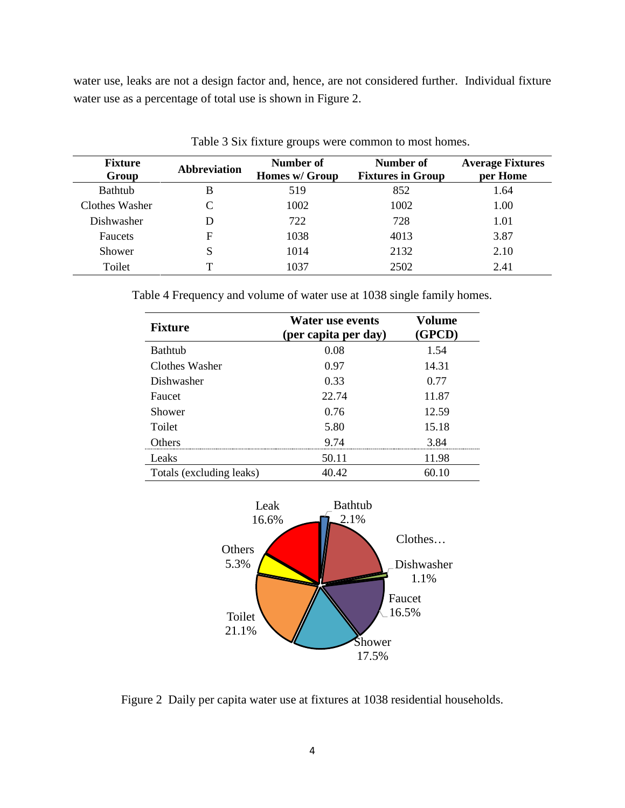water use, leaks are not a design factor and, hence, are not considered further. Individual fixture water use as a percentage of total use is shown in Figure 2.

<span id="page-7-1"></span>

| <b>Fixture</b><br>Group | <b>Abbreviation</b> | Number of<br>Homes w/ Group | Number of<br><b>Fixtures in Group</b> | <b>Average Fixtures</b><br>per Home |
|-------------------------|---------------------|-----------------------------|---------------------------------------|-------------------------------------|
| <b>Bathtub</b>          | B                   | 519                         | 852                                   | 1.64                                |
| Clothes Washer          |                     | 1002                        | 1002                                  | 1.00                                |
| Dishwasher              |                     | 722                         | 728                                   | 1.01                                |
| <b>Faucets</b>          | F                   | 1038                        | 4013                                  | 3.87                                |
| Shower                  | S                   | 1014                        | 2132                                  | 2.10                                |
| Toilet                  |                     | 1037                        | 2502                                  | 2.41                                |

Table 3 Six fixture groups were common to most homes.

<span id="page-7-2"></span>Table 4 Frequency and volume of water use at 1038 single family homes.

| <b>Fixture</b>           | <b>Water use events</b><br>(per capita per day) | Volume<br>(GPCD) |
|--------------------------|-------------------------------------------------|------------------|
| <b>Bathtub</b>           | 0.08                                            | 1.54             |
| Clothes Washer           | 0.97                                            | 14.31            |
| Dishwasher               | 0.33                                            | 0.77             |
| Faucet                   | 22.74                                           | 11.87            |
| Shower                   | 0.76                                            | 12.59            |
| Toilet                   | 5.80                                            | 15.18            |
| Others                   | 9.74                                            | 3.84             |
| Leaks                    | 50.11                                           | 11.98            |
| Totals (excluding leaks) | 40.42                                           | 60.10            |



<span id="page-7-0"></span>Figure 2 Daily per capita water use at fixtures at 1038 residential households.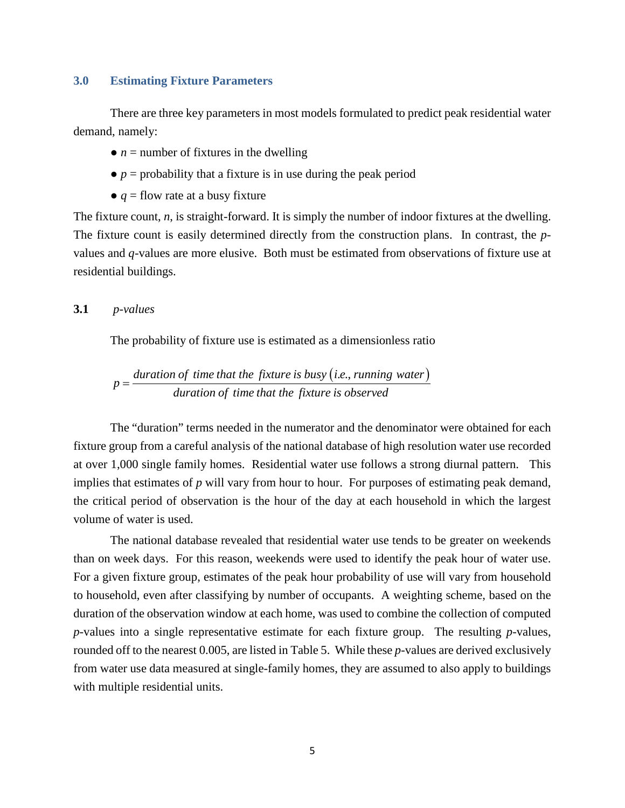#### <span id="page-8-0"></span>**3.0 Estimating Fixture Parameters**

There are three key parameters in most models formulated to predict peak residential water demand, namely:

- $\bullet$  *n* = number of fixtures in the dwelling
- $\bullet$  *p* = probability that a fixture is in use during the peak period
- $\bullet$  *q* = flow rate at a busy fixture

The fixture count, *n*, is straight-forward. It is simply the number of indoor fixtures at the dwelling. The fixture count is easily determined directly from the construction plans. In contrast, the *p*values and *q*-values are more elusive. Both must be estimated from observations of fixture use at residential buildings.

#### **3.1** *p-values*

The probability of fixture use is estimated as a dimensionless ratio

 $p = \frac{duration\ of\ time\ that\ the\ fixture\ is\ busy\ (i.e., running\ water)}{duration\ of\ time\ that\ the\ fixture\ is\ observed}$ 

The "duration" terms needed in the numerator and the denominator were obtained for each fixture group from a careful analysis of the national database of high resolution water use recorded at over 1,000 single family homes. Residential water use follows a strong diurnal pattern. This implies that estimates of *p* will vary from hour to hour. For purposes of estimating peak demand, the critical period of observation is the hour of the day at each household in which the largest volume of water is used.

The national database revealed that residential water use tends to be greater on weekends than on week days. For this reason, weekends were used to identify the peak hour of water use. For a given fixture group, estimates of the peak hour probability of use will vary from household to household, even after classifying by number of occupants. A weighting scheme, based on the duration of the observation window at each home, was used to combine the collection of computed *p*-values into a single representative estimate for each fixture group. The resulting *p-*values, rounded off to the nearest 0.005, are listed in Table 5. While these *p*-values are derived exclusively from water use data measured at single-family homes, they are assumed to also apply to buildings with multiple residential units.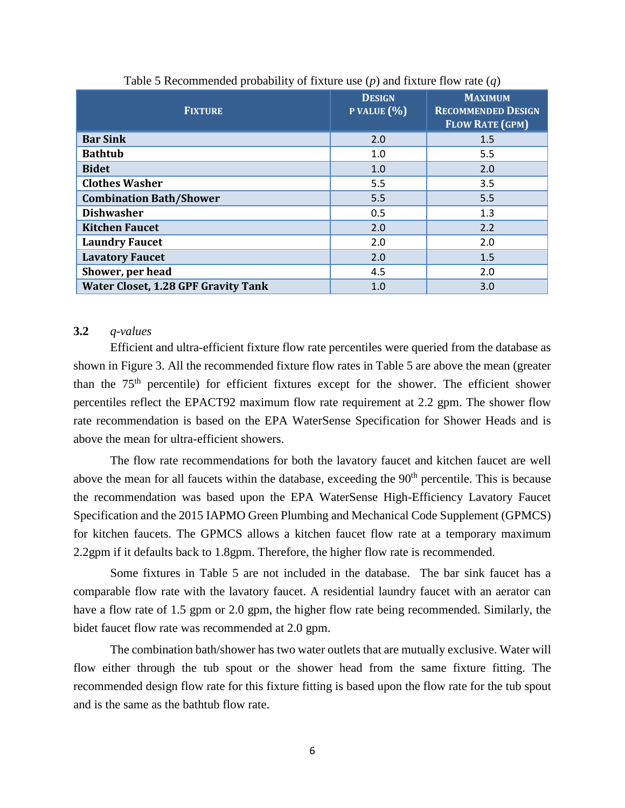<span id="page-9-0"></span>

| <b>FIXTURE</b>                             | <b>DESIGN</b><br>P VALUE $(\% )$ | <b>MAXIMUM</b><br><b>RECOMMENDED DESIGN</b><br><b>FLOW RATE (GPM)</b> |
|--------------------------------------------|----------------------------------|-----------------------------------------------------------------------|
| <b>Bar Sink</b>                            | 2.0                              | 1.5                                                                   |
| <b>Bathtub</b>                             | 1.0                              | 5.5                                                                   |
| <b>Bidet</b>                               | 1.0                              | 2.0                                                                   |
| <b>Clothes Washer</b>                      | 5.5                              | 3.5                                                                   |
| <b>Combination Bath/Shower</b>             | 5.5                              | 5.5                                                                   |
| <b>Dishwasher</b>                          | 0.5                              | 1.3                                                                   |
| <b>Kitchen Faucet</b>                      | 2.0                              | 2.2                                                                   |
| <b>Laundry Faucet</b>                      | 2.0                              | 2.0                                                                   |
| <b>Lavatory Faucet</b>                     | 2.0                              | 1.5                                                                   |
| Shower, per head                           | 4.5                              | 2.0                                                                   |
| <b>Water Closet, 1.28 GPF Gravity Tank</b> | 1.0                              | 3.0                                                                   |

Table 5 Recommended probability of fixture use (*p*) and fixture flow rate (*q*)

#### **3.2** *q-values*

Efficient and ultra-efficient fixture flow rate percentiles were queried from the database as shown in Figure 3. All the recommended fixture flow rates in Table 5 are above the mean (greater than the 75<sup>th</sup> percentile) for efficient fixtures except for the shower. The efficient shower percentiles reflect the EPACT92 maximum flow rate requirement at 2.2 gpm. The shower flow rate recommendation is based on the EPA WaterSense Specification for Shower Heads and is above the mean for ultra-efficient showers.

The flow rate recommendations for both the lavatory faucet and kitchen faucet are well above the mean for all faucets within the database, exceeding the  $90<sup>th</sup>$  percentile. This is because the recommendation was based upon the EPA WaterSense High-Efficiency Lavatory Faucet Specification and the 2015 IAPMO Green Plumbing and Mechanical Code Supplement (GPMCS) for kitchen faucets. The GPMCS allows a kitchen faucet flow rate at a temporary maximum 2.2gpm if it defaults back to 1.8gpm. Therefore, the higher flow rate is recommended.

Some fixtures in Table 5 are not included in the database. The bar sink faucet has a comparable flow rate with the lavatory faucet. A residential laundry faucet with an aerator can have a flow rate of 1.5 gpm or 2.0 gpm, the higher flow rate being recommended. Similarly, the bidet faucet flow rate was recommended at 2.0 gpm.

The combination bath/shower has two water outlets that are mutually exclusive. Water will flow either through the tub spout or the shower head from the same fixture fitting. The recommended design flow rate for this fixture fitting is based upon the flow rate for the tub spout and is the same as the bathtub flow rate.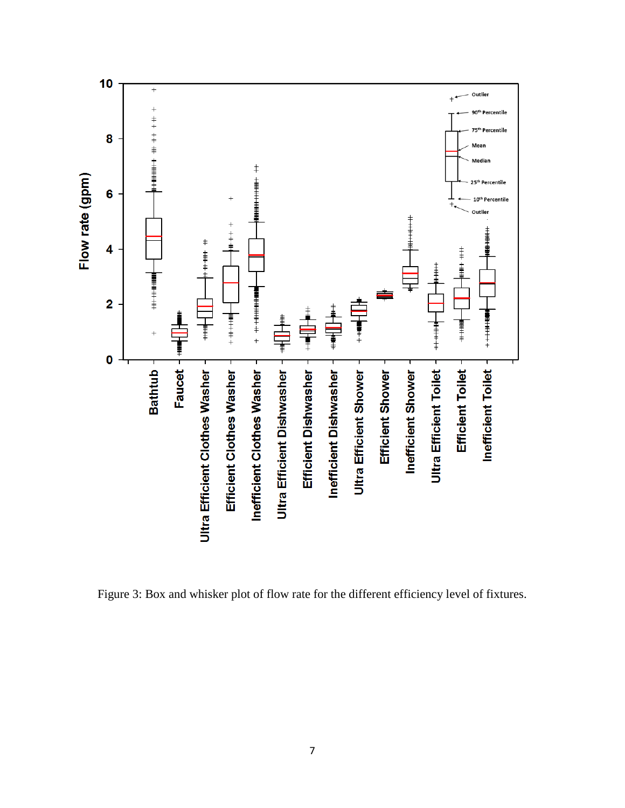

<span id="page-10-0"></span>Figure 3: Box and whisker plot of flow rate for the different efficiency level of fixtures.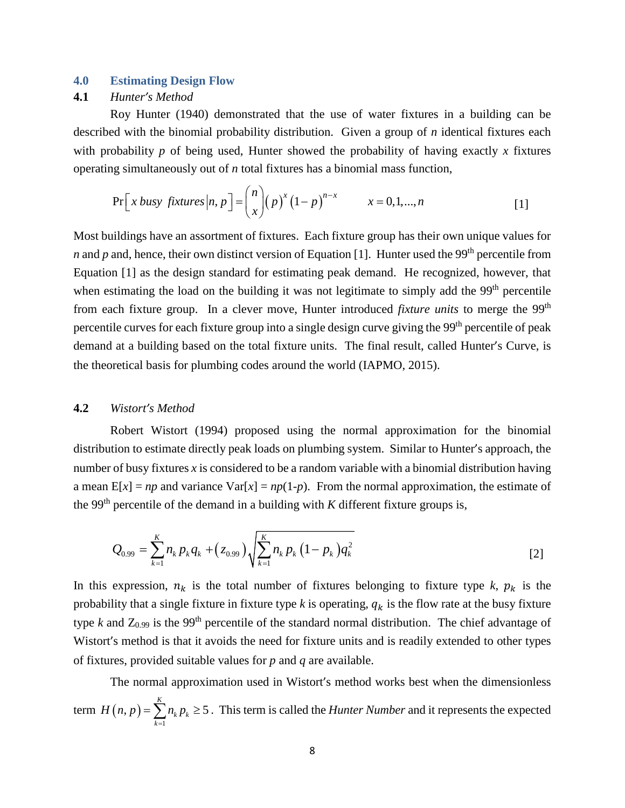#### <span id="page-11-0"></span>**4.0 Estimating Design Flow**

#### **4.1** *Hunter's Method*

Roy Hunter (1940) demonstrated that the use of water fixtures in a building can be described with the binomial probability distribution. Given a group of *n* identical fixtures each with probability *p* of being used, Hunter showed the probability of having exactly *x* fixtures operating simultaneously out of *n* total fixtures has a binomial mass function,

$$
\Pr\left[x \text{ busy }fixtures|n,p\right] = {n \choose x} (p)^x (1-p)^{n-x} \qquad x = 0,1,...,n
$$
 [1]

Most buildings have an assortment of fixtures. Each fixture group has their own unique values for *n* and *p* and, hence, their own distinct version of Equation [1]. Hunter used the 99<sup>th</sup> percentile from Equation [1] as the design standard for estimating peak demand. He recognized, however, that when estimating the load on the building it was not legitimate to simply add the 99<sup>th</sup> percentile from each fixture group. In a clever move, Hunter introduced *fixture units* to merge the 99<sup>th</sup> percentile curves for each fixture group into a single design curve giving the 99<sup>th</sup> percentile of peak demand at a building based on the total fixture units. The final result, called Hunter's Curve, is the theoretical basis for plumbing codes around the world (IAPMO, 2015).

#### **4.2** *Wistort's Method*

Robert Wistort (1994) proposed using the normal approximation for the binomial distribution to estimate directly peak loads on plumbing system. Similar to Hunter's approach, the number of busy fixtures *x* is considered to be a random variable with a binomial distribution having a mean  $E[x] = np$  and variance  $Var[x] = np(1-p)$ . From the normal approximation, the estimate of the 99<sup>th</sup> percentile of the demand in a building with  $K$  different fixture groups is,

$$
Q_{0.99} = \sum_{k=1}^{K} n_k p_k q_k + (z_{0.99}) \sqrt{\sum_{k=1}^{K} n_k p_k (1 - p_k) q_k^2}
$$
 [2]

In this expression,  $n_k$  is the total number of fixtures belonging to fixture type  $k$ ,  $p_k$  is the probability that a single fixture in fixture type  $k$  is operating,  $q_k$  is the flow rate at the busy fixture type  $k$  and  $Z_{0.99}$  is the 99<sup>th</sup> percentile of the standard normal distribution. The chief advantage of Wistort's method is that it avoids the need for fixture units and is readily extended to other types of fixtures, provided suitable values for *p* and *q* are available.

The normal approximation used in Wistort's method works best when the dimensionless term  $H(n, p)$ 1  $, p) = \sum_{k} n_{k} p_{k} \ge 5$ *K k k k*  $H(n, p) = \sum n_k p$  $=\sum_{k=1}^{8} n_k p_k \ge 5$ . This term is called the *Hunter Number* and it represents the expected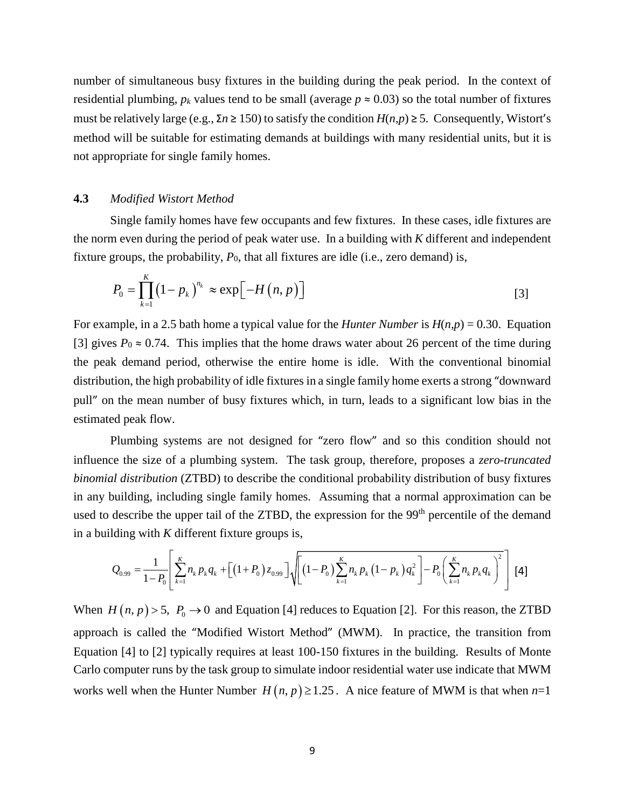number of simultaneous busy fixtures in the building during the peak period. In the context of residential plumbing,  $p_k$  values tend to be small (average  $p \approx 0.03$ ) so the total number of fixtures must be relatively large (e.g., Σ*n* ≥ 150) to satisfy the condition *H*(*n,p*) ≥ 5. Consequently, Wistort's method will be suitable for estimating demands at buildings with many residential units, but it is not appropriate for single family homes.

#### **4.3** *Modified Wistort Method*

Single family homes have few occupants and few fixtures. In these cases, idle fixtures are the norm even during the period of peak water use. In a building with *K* different and independent fixture groups, the probability,  $P_0$ , that all fixtures are idle (i.e., zero demand) is,

$$
P_0 = \prod_{k=1}^{K} \left(1 - p_k\right)^{n_k} \approx \exp\left[-H\left(n, p\right)\right]
$$

For example, in a 2.5 bath home a typical value for the *Hunter Number* is *H*(*n,p*) = 0.30. Equation [3] gives  $P_0 \approx 0.74$ . This implies that the home draws water about 26 percent of the time during the peak demand period, otherwise the entire home is idle. With the conventional binomial distribution, the high probability of idle fixtures in a single family home exerts a strong "downward pull" on the mean number of busy fixtures which, in turn, leads to a significant low bias in the estimated peak flow.

Plumbing systems are not designed for "zero flow" and so this condition should not influence the size of a plumbing system. The task group, therefore, proposes a *zero-truncated binomial distribution* (ZTBD) to describe the conditional probability distribution of busy fixtures in any building, including single family homes. Assuming that a normal approximation can be used to describe the upper tail of the ZTBD, the expression for the 99<sup>th</sup> percentile of the demand in a building with *K* different fixture groups is,

$$
Q_{0.99} = \frac{1}{1-P_0} \left[ \sum_{k=1}^K n_k p_k q_k + \left[ \left(1+P_0\right) z_{0.99} \right] \sqrt{\left[ \left(1-P_0\right) \sum_{k=1}^K n_k p_k \left(1-p_k\right) q_k^2 \right] - P_0 \left( \sum_{k=1}^K n_k p_k q_k \right)^2} \right] [4]
$$

When  $H(n, p) > 5$ ,  $P_0 \rightarrow 0$  and Equation [4] reduces to Equation [2]. For this reason, the ZTBD approach is called the "Modified Wistort Method" (MWM). In practice, the transition from Equation [4] to [2] typically requires at least 100-150 fixtures in the building. Results of Monte Carlo computer runs by the task group to simulate indoor residential water use indicate that MWM works well when the Hunter Number  $H(n, p) \ge 1.25$ . A nice feature of MWM is that when  $n=1$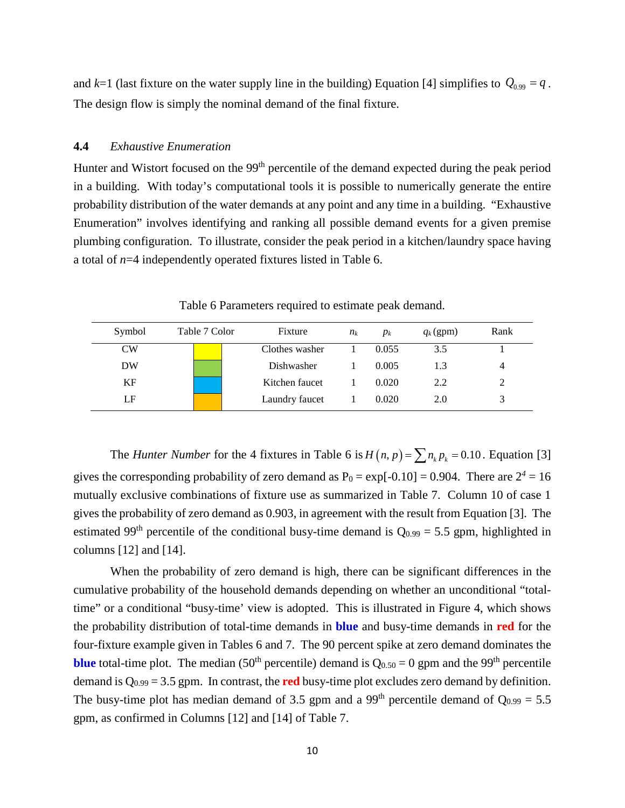and  $k=1$  (last fixture on the water supply line in the building) Equation [4] simplifies to  $Q_{0.99} = q$ . The design flow is simply the nominal demand of the final fixture.

#### **4.4** *Exhaustive Enumeration*

Hunter and Wistort focused on the 99<sup>th</sup> percentile of the demand expected during the peak period in a building. With today's computational tools it is possible to numerically generate the entire probability distribution of the water demands at any point and any time in a building. "Exhaustive Enumeration" involves identifying and ranking all possible demand events for a given premise plumbing configuration. To illustrate, consider the peak period in a kitchen/laundry space having a total of *n*=4 independently operated fixtures listed in Table 6.

<span id="page-13-0"></span>

| Symbol    | Table 7 Color | Fixture        | $n_k$ | $p_k$ | $q_k$ (gpm) | Rank |
|-----------|---------------|----------------|-------|-------|-------------|------|
| <b>CW</b> |               | Clothes washer |       | 0.055 | 3.5         |      |
| DW        |               | Dishwasher     |       | 0.005 | 1.3         | 4    |
| KF        |               | Kitchen faucet |       | 0.020 | 2.2         | 2    |
| LF        |               | Laundry faucet |       | 0.020 | 2.0         | 3    |

Table 6 Parameters required to estimate peak demand.

The *Hunter Number* for the 4 fixtures in Table 6 is  $H(n, p) = \sum n_k p_k = 0.10$ . Equation [3] gives the corresponding probability of zero demand as  $P_0 = \exp[-0.10] = 0.904$ . There are  $2^4 = 16$ mutually exclusive combinations of fixture use as summarized in Table 7. Column 10 of case 1 gives the probability of zero demand as 0.903, in agreement with the result from Equation [3]. The estimated 99<sup>th</sup> percentile of the conditional busy-time demand is  $Q_{0.99} = 5.5$  gpm, highlighted in columns [12] and [14].

When the probability of zero demand is high, there can be significant differences in the cumulative probability of the household demands depending on whether an unconditional "totaltime" or a conditional "busy-time' view is adopted. This is illustrated in Figure 4, which shows the probability distribution of total-time demands in **blue** and busy-time demands in **red** for the four-fixture example given in Tables 6 and 7. The 90 percent spike at zero demand dominates the **blue** total-time plot. The median (50<sup>th</sup> percentile) demand is  $Q_{0.50} = 0$  gpm and the 99<sup>th</sup> percentile demand is  $Q_{0.99} = 3.5$  gpm. In contrast, the **red** busy-time plot excludes zero demand by definition. The busy-time plot has median demand of 3.5 gpm and a 99<sup>th</sup> percentile demand of  $Q_{0.99} = 5.5$ gpm, as confirmed in Columns [12] and [14] of Table 7.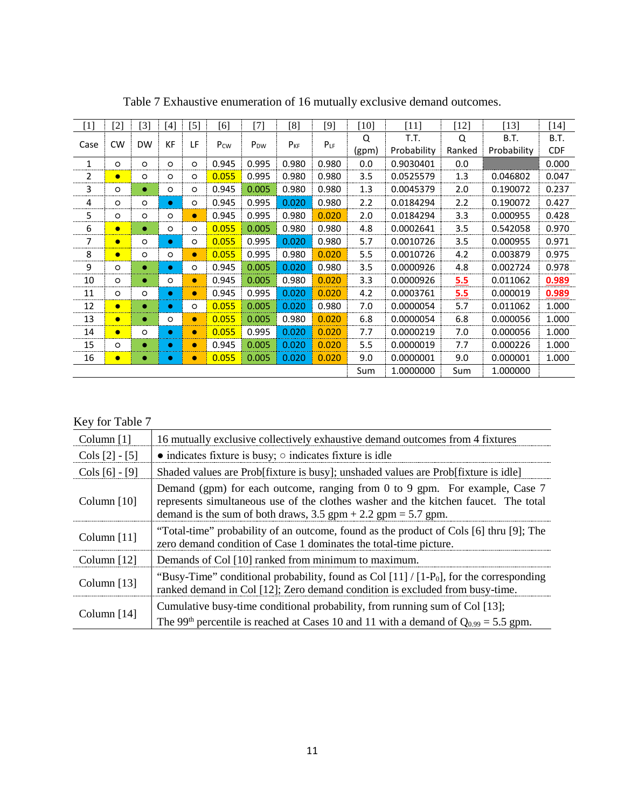<span id="page-14-0"></span>

| $[1]$ | [2]       | $\left[ 3\right]$ | [4]       | $[5]$     | [6]             | [7]             | [8]      | [9]      | [10]  | [11]        | $[12]$ | $[13]$      | $[14]$      |      |
|-------|-----------|-------------------|-----------|-----------|-----------------|-----------------|----------|----------|-------|-------------|--------|-------------|-------------|------|
|       | <b>CW</b> | <b>DW</b>         | <b>KF</b> | LF        |                 |                 | $P_{KF}$ |          |       | Q           | T.T.   | Q           | <b>B.T.</b> | B.T. |
| Case  |           |                   |           |           | P <sub>cw</sub> | P <sub>DW</sub> |          | $P_{LF}$ | (gpm) | Probability | Ranked | Probability | <b>CDF</b>  |      |
| 1<br> | $\circ$   | $\circ$           | $\circ$   | O         | 0.945           | 0.995           | 0.980    | 0.980    | 0.0   | 0.9030401   | 0.0    |             | 0.000       |      |
| 2     | $\bullet$ | $\circ$           | O         | O         | 0.055           | 0.995           | 0.980    | 0.980    | 3.5   | 0.0525579   | 1.3    | 0.046802    | 0.047       |      |
| 3     | O         | ۰                 | $\circ$   | O         | 0.945           | 0.005           | 0.980    | 0.980    | 1.3   | 0.0045379   | 2.0    | 0.190072    | 0.237       |      |
| 4     | $\circ$   | $\circ$           | $\bullet$ | O         | 0.945           | 0.995           | 0.020    | 0.980    | 2.2   | 0.0184294   | 2.2    | 0.190072    | 0.427       |      |
| 5<br> | $\circ$   | $\circ$           | $\circ$   | $\bullet$ | 0.945           | 0.995           | 0.980    | 0.020    | 2.0   | 0.0184294   | 3.3    | 0.000955    | 0.428       |      |
| 6     | $\bullet$ | ٠                 | $\circ$   | O         | 0.055           | 0.005           | 0.980    | 0.980    | 4.8   | 0.0002641   | 3.5    | 0.542058    | 0.970       |      |
| 7<br> | $\bullet$ | $\circ$           | $\bullet$ | O         | 0.055           | 0.995           | 0.020    | 0.980    | 5.7   | 0.0010726   | 3.5    | 0.000955    | 0.971       |      |
| 8<br> | $\bullet$ | $\circ$           | $\circ$   | $\bullet$ | 0.055           | 0.995           | 0.980    | 0.020    | 5.5   | 0.0010726   | 4.2    | 0.003879    | 0.975       |      |
| 9     | O         | $\bullet$         | $\bullet$ | O         | 0.945           | 0.005           | 0.020    | 0.980    | 3.5   | 0.0000926   | 4.8    | 0.002724    | 0.978       |      |
| 10    | $\circ$   | $\bullet$         | O         | $\bullet$ | 0.945           | 0.005           | 0.980    | 0.020    | 3.3   | 0.0000926   | 5.5    | 0.011062    | 0.989       |      |
| 11    | O         | $\circ$           | $\bullet$ | $\bullet$ | 0.945           | 0.995           | 0.020    | 0.020    | 4.2   | 0.0003761   | 5.5    | 0.000019    | 0.989       |      |
| 12    | $\bullet$ |                   | $\bullet$ | O         | 0.055           | 0.005           | 0.020    | 0.980    | 7.0   | 0.0000054   | 5.7    | 0.011062    | 1.000       |      |
| 13    | $\bullet$ |                   | $\circ$   | $\bullet$ | 0.055           | 0.005           | 0.980    | 0.020    | 6.8   | 0.0000054   | 6.8    | 0.000056    | 1.000       |      |
| 14    | $\bullet$ | $\circ$           | $\bullet$ | $\bullet$ | 0.055           | 0.995           | 0.020    | 0.020    | 7.7   | 0.0000219   | 7.0    | 0.000056    | 1.000       |      |
| 15    | $\circ$   | ٠                 | $\bullet$ | $\bullet$ | 0.945           | 0.005           | 0.020    | 0.020    | 5.5   | 0.0000019   | 7.7    | 0.000226    | 1.000       |      |
| 16    | $\bullet$ | ۰                 | ۰         | $\bullet$ | 0.055           | 0.005           | 0.020    | 0.020    | 9.0   | 0.0000001   | 9.0    | 0.000001    | 1.000       |      |
|       |           |                   |           |           |                 |                 |          |          | Sum   | 1.0000000   | Sum    | 1.000000    |             |      |

Table 7 Exhaustive enumeration of 16 mutually exclusive demand outcomes.

### Key for Table 7

| Column $[1]$     | 16 mutually exclusive collectively exhaustive demand outcomes from 4 fixtures                                                                                                                                                             |
|------------------|-------------------------------------------------------------------------------------------------------------------------------------------------------------------------------------------------------------------------------------------|
| Cols $[2] - [5]$ | $\bullet$ indicates fixture is busy; $\circ$ indicates fixture is idle                                                                                                                                                                    |
| Cols $[6] - [9]$ | Shaded values are Prob[fixture is busy]; unshaded values are Prob[fixture is idle]                                                                                                                                                        |
| Column $[10]$    | Demand (gpm) for each outcome, ranging from 0 to 9 gpm. For example, Case 7<br>represents simultaneous use of the clothes washer and the kitchen faucet. The total<br>demand is the sum of both draws, $3.5$ gpm + $2.2$ gpm = $5.7$ gpm. |
| Column $[11]$    | "Total-time" probability of an outcome, found as the product of Cols [6] thru [9]; The<br>zero demand condition of Case 1 dominates the total-time picture.                                                                               |
| Column $[12]$    | Demands of Col [10] ranked from minimum to maximum.                                                                                                                                                                                       |
| Column $[13]$    | "Busy-Time" conditional probability, found as Col $[11]/[1-P0]$ , for the corresponding<br>ranked demand in Col [12]; Zero demand condition is excluded from busy-time.                                                                   |
| Column $[14]$    | Cumulative busy-time conditional probability, from running sum of Col [13];<br>The 99 <sup>th</sup> percentile is reached at Cases 10 and 11 with a demand of $Q_{0.99} = 5.5$ gpm.                                                       |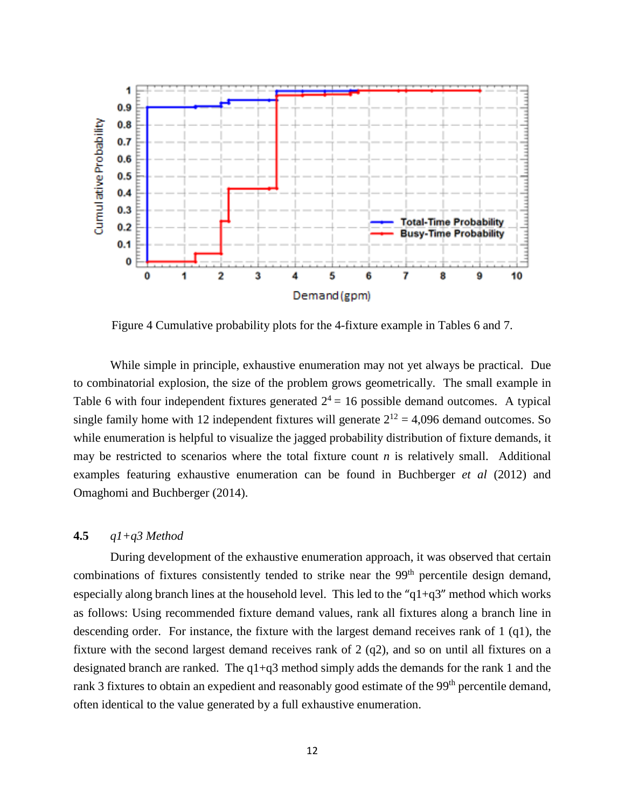

<span id="page-15-0"></span>Figure 4 Cumulative probability plots for the 4-fixture example in Tables 6 and 7.

While simple in principle, exhaustive enumeration may not yet always be practical. Due to combinatorial explosion, the size of the problem grows geometrically. The small example in Table 6 with four independent fixtures generated  $2^4 = 16$  possible demand outcomes. A typical single family home with 12 independent fixtures will generate  $2^{12} = 4,096$  demand outcomes. So while enumeration is helpful to visualize the jagged probability distribution of fixture demands, it may be restricted to scenarios where the total fixture count  $n$  is relatively small. Additional examples featuring exhaustive enumeration can be found in Buchberger *et al* (2012) and Omaghomi and Buchberger (2014).

#### **4.5** *q1+q3 Method*

During development of the exhaustive enumeration approach, it was observed that certain combinations of fixtures consistently tended to strike near the 99<sup>th</sup> percentile design demand, especially along branch lines at the household level. This led to the " $q1+q3$ " method which works as follows: Using recommended fixture demand values, rank all fixtures along a branch line in descending order. For instance, the fixture with the largest demand receives rank of 1 (q1), the fixture with the second largest demand receives rank of 2 (q2), and so on until all fixtures on a designated branch are ranked. The q1+q3 method simply adds the demands for the rank 1 and the rank 3 fixtures to obtain an expedient and reasonably good estimate of the 99<sup>th</sup> percentile demand, often identical to the value generated by a full exhaustive enumeration.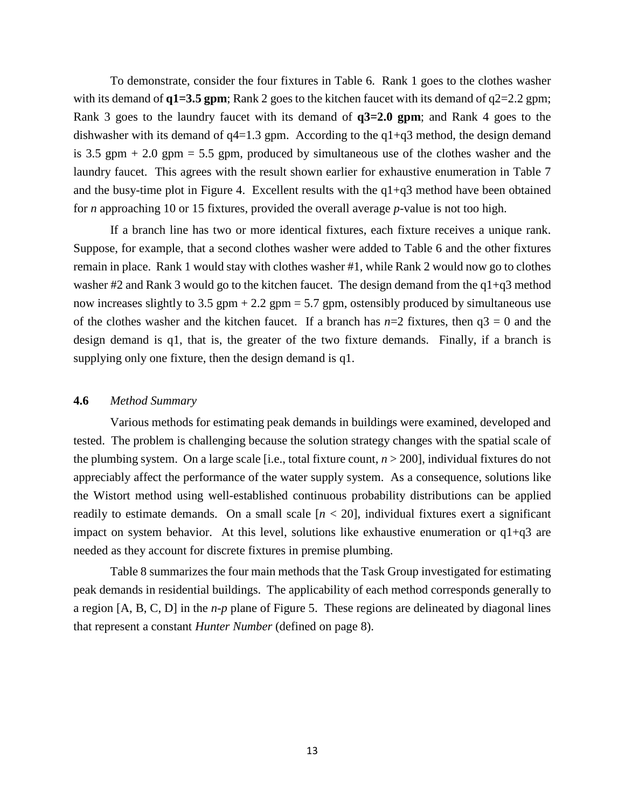To demonstrate, consider the four fixtures in Table 6. Rank 1 goes to the clothes washer with its demand of  $q1=3.5$  gpm; Rank 2 goes to the kitchen faucet with its demand of  $q2=2.2$  gpm; Rank 3 goes to the laundry faucet with its demand of **q3=2.0 gpm**; and Rank 4 goes to the dishwasher with its demand of  $q4=1.3$  gpm. According to the  $q1+q3$  method, the design demand is 3.5 gpm  $+ 2.0$  gpm  $= 5.5$  gpm, produced by simultaneous use of the clothes washer and the laundry faucet. This agrees with the result shown earlier for exhaustive enumeration in Table 7 and the busy-time plot in Figure 4. Excellent results with the  $q1+q3$  method have been obtained for *n* approaching 10 or 15 fixtures, provided the overall average *p*-value is not too high.

If a branch line has two or more identical fixtures, each fixture receives a unique rank. Suppose, for example, that a second clothes washer were added to Table 6 and the other fixtures remain in place. Rank 1 would stay with clothes washer #1, while Rank 2 would now go to clothes washer #2 and Rank 3 would go to the kitchen faucet. The design demand from the q1+q3 method now increases slightly to 3.5 gpm + 2.2 gpm = 5.7 gpm, ostensibly produced by simultaneous use of the clothes washer and the kitchen faucet. If a branch has  $n=2$  fixtures, then  $q3 = 0$  and the design demand is q1, that is, the greater of the two fixture demands. Finally, if a branch is supplying only one fixture, then the design demand is q1.

#### **4.6** *Method Summary*

Various methods for estimating peak demands in buildings were examined, developed and tested. The problem is challenging because the solution strategy changes with the spatial scale of the plumbing system. On a large scale [i.e., total fixture count, *n* > 200], individual fixtures do not appreciably affect the performance of the water supply system. As a consequence, solutions like the Wistort method using well-established continuous probability distributions can be applied readily to estimate demands. On a small scale  $[n < 20]$ , individual fixtures exert a significant impact on system behavior. At this level, solutions like exhaustive enumeration or q1+q3 are needed as they account for discrete fixtures in premise plumbing.

Table 8 summarizes the four main methods that the Task Group investigated for estimating peak demands in residential buildings. The applicability of each method corresponds generally to a region [A, B, C, D] in the *n-p* plane of Figure 5. These regions are delineated by diagonal lines that represent a constant *Hunter Number* (defined on page 8).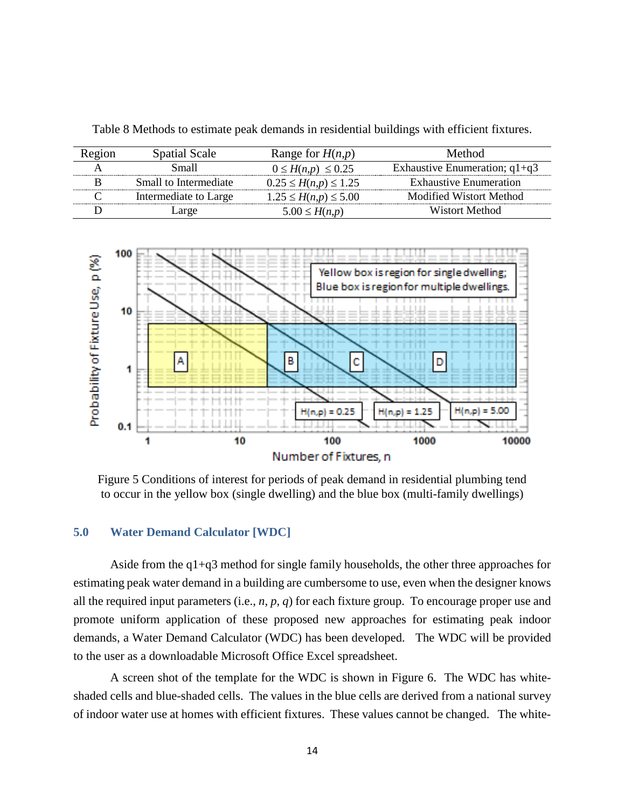| Region | <b>Spatial Scale</b>  | Range for $H(n,p)$           | Method                          |
|--------|-----------------------|------------------------------|---------------------------------|
|        | Small                 | $0 \le H(n,p) \le 0.25$      | Exhaustive Enumeration; $q1+q3$ |
|        | Small to Intermediate | $0.25 \leq H(n,p) \leq 1.25$ | <b>Exhaustive Enumeration</b>   |
|        | Intermediate to Large | $1.25 \le H(n,p) \le 5.00$   | Modified Wistort Method         |
|        | large                 | $5.00 \leq H(n,p)$           | Wistort Method                  |

<span id="page-17-2"></span>Table 8 Methods to estimate peak demands in residential buildings with efficient fixtures.



<span id="page-17-1"></span>Figure 5 Conditions of interest for periods of peak demand in residential plumbing tend to occur in the yellow box (single dwelling) and the blue box (multi-family dwellings)

#### <span id="page-17-0"></span>**5.0 Water Demand Calculator [WDC]**

Aside from the  $q1+q3$  method for single family households, the other three approaches for estimating peak water demand in a building are cumbersome to use, even when the designer knows all the required input parameters (i.e., *n, p, q*) for each fixture group. To encourage proper use and promote uniform application of these proposed new approaches for estimating peak indoor demands, a Water Demand Calculator (WDC) has been developed. The WDC will be provided to the user as a downloadable Microsoft Office Excel spreadsheet.

A screen shot of the template for the WDC is shown in Figure 6. The WDC has whiteshaded cells and blue-shaded cells. The values in the blue cells are derived from a national survey of indoor water use at homes with efficient fixtures. These values cannot be changed. The white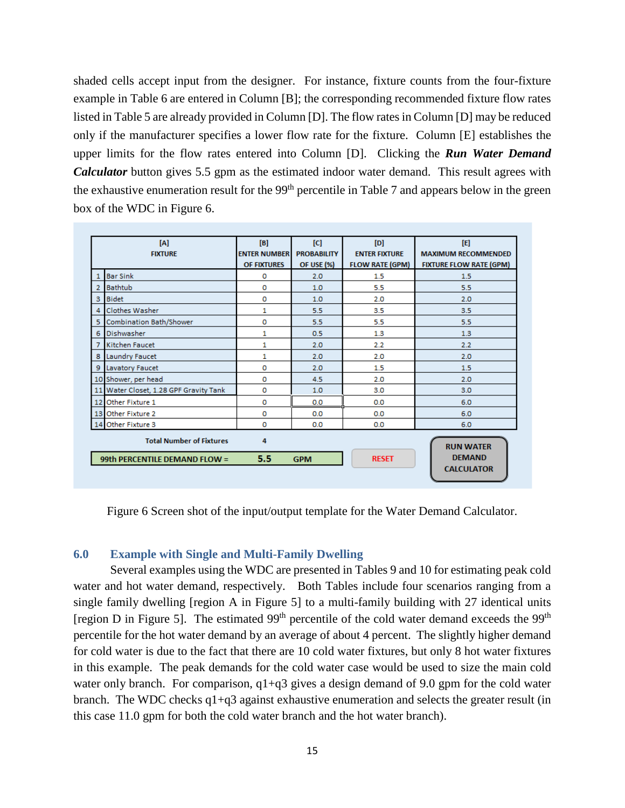shaded cells accept input from the designer. For instance, fixture counts from the four-fixture example in Table 6 are entered in Column [B]; the corresponding recommended fixture flow rates listed in Table 5 are already provided in Column [D]. The flow rates in Column [D] may be reduced only if the manufacturer specifies a lower flow rate for the fixture. Column [E] establishes the upper limits for the flow rates entered into Column [D]. Clicking the *Run Water Demand Calculator* button gives 5.5 gpm as the estimated indoor water demand. This result agrees with the exhaustive enumeration result for the 99<sup>th</sup> percentile in Table 7 and appears below in the green box of the WDC in Figure 6.

| [A]<br><b>FIXTURE</b> |                                                                                                                                                           | [B]<br><b>ENTER NUMBER</b><br><b>OF FIXTURES</b> | [C]<br><b>PROBABILITY</b><br><b>OF USE (%)</b> | [D]<br><b>ENTER FIXTURE</b><br><b>FLOW RATE (GPM)</b> | 旧<br><b>MAXIMUM RECOMMENDED</b><br><b>FIXTURE FLOW RATE (GPM)</b> |  |
|-----------------------|-----------------------------------------------------------------------------------------------------------------------------------------------------------|--------------------------------------------------|------------------------------------------------|-------------------------------------------------------|-------------------------------------------------------------------|--|
| 1                     | <b>Bar Sink</b>                                                                                                                                           | 0                                                | 2.0                                            | 1.5                                                   | 1.5                                                               |  |
| $\overline{2}$        | <b>Bathtub</b>                                                                                                                                            | $\Omega$                                         | 1.0                                            | 5.5                                                   | 5.5                                                               |  |
| 3                     | <b>Bidet</b>                                                                                                                                              | o                                                | 1.0                                            | 2.0                                                   | 2.0                                                               |  |
| 4                     | Clothes Washer                                                                                                                                            | 1                                                | 5.5                                            | 3.5                                                   | 3.5                                                               |  |
| 5.                    | <b>Combination Bath/Shower</b>                                                                                                                            | o                                                | 5.5                                            | 5.5                                                   | 5.5                                                               |  |
| 6                     | Dishwasher                                                                                                                                                | 1                                                | 0.5                                            | 1.3                                                   | 1.3                                                               |  |
| 7                     | Kitchen Faucet                                                                                                                                            | 1                                                | 2.0                                            | 2.2                                                   | 2.2                                                               |  |
| 8                     | Laundry Faucet                                                                                                                                            | 1                                                | 2.0                                            | 2.0                                                   | 2.0                                                               |  |
| 9                     | Lavatory Faucet                                                                                                                                           | o                                                | 2.0                                            | 1.5                                                   | 1.5                                                               |  |
|                       | 10 Shower, per head                                                                                                                                       | $\Omega$                                         | 4.5                                            | 2.0                                                   | 2.0                                                               |  |
|                       | 11 Water Closet, 1.28 GPF Gravity Tank                                                                                                                    | 0                                                | 1.0                                            | 3.0                                                   | 3.0                                                               |  |
|                       | 12 Other Fixture 1                                                                                                                                        | 0                                                | 0.0                                            | 0.0                                                   | 6.0                                                               |  |
|                       | 13 Other Fixture 2                                                                                                                                        | 0                                                | 0.0                                            | 0.0                                                   | 6.0                                                               |  |
|                       | 14 Other Fixture 3                                                                                                                                        | 0                                                | 0.0                                            | 0.0                                                   | 6.0                                                               |  |
|                       | <b>Total Number of Fixtures</b><br>4<br><b>RUN WATER</b><br><b>DEMAND</b><br>$5.5^{\circ}$<br><b>RESET</b><br>99th PERCENTILE DEMAND FLOW =<br><b>GPM</b> |                                                  |                                                |                                                       |                                                                   |  |
|                       |                                                                                                                                                           |                                                  |                                                |                                                       | <b>CALCULATOR</b>                                                 |  |

<span id="page-18-1"></span>Figure 6 Screen shot of the input/output template for the Water Demand Calculator.

#### <span id="page-18-0"></span>**6.0 Example with Single and Multi-Family Dwelling**

Several examples using the WDC are presented in Tables 9 and 10 for estimating peak cold water and hot water demand, respectively. Both Tables include four scenarios ranging from a single family dwelling [region A in Figure 5] to a multi-family building with 27 identical units [region D in Figure 5]. The estimated  $99<sup>th</sup>$  percentile of the cold water demand exceeds the  $99<sup>th</sup>$ percentile for the hot water demand by an average of about 4 percent. The slightly higher demand for cold water is due to the fact that there are 10 cold water fixtures, but only 8 hot water fixtures in this example. The peak demands for the cold water case would be used to size the main cold water only branch. For comparison,  $q1+q3$  gives a design demand of 9.0 gpm for the cold water branch. The WDC checks q1+q3 against exhaustive enumeration and selects the greater result (in this case 11.0 gpm for both the cold water branch and the hot water branch).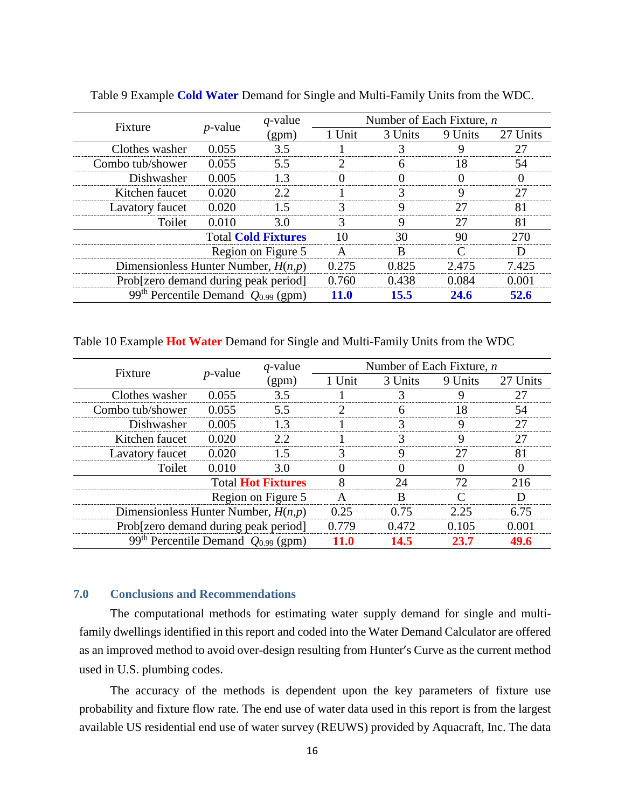| Fixture                                             | $p$ -value    | $q$ -value | Number of Each Fixture, $n$ |         |         |          |
|-----------------------------------------------------|---------------|------------|-----------------------------|---------|---------|----------|
|                                                     |               | (gpm       | 1 Unit                      | 3 Units | 9 Units | 27 Units |
| Clothes washer                                      | <u> በ በ55</u> |            |                             |         |         |          |
| Combo tub/shower                                    | 0.055         | 55         |                             |         |         |          |
| Dishwasher                                          | 0.005         |            |                             |         |         |          |
| Kitchen faucet                                      | 0.020         | 7 D        |                             |         |         |          |
| Lavatory faucet                                     | 0.020         |            |                             |         |         |          |
| Toilet                                              | 0.010         | 3.0        |                             |         |         |          |
| <b>Total Cold Fixtures</b>                          |               |            |                             |         |         |          |
| Region on Figure 5                                  |               |            |                             |         |         |          |
| Dimensionless Hunter Number, $H(n,p)$               |               |            | 0.275                       | 0.825   | 2 475   | 7 425    |
| Prob[zero demand during peak period]                |               |            | 0.760                       | 0.438   | 184     |          |
| 99 <sup>th</sup> Percentile Demand $Q_{0.99}$ (gpm) |               |            |                             | 155     |         |          |

<span id="page-19-1"></span>Table 9 Example **Cold Water** Demand for Single and Multi-Family Units from the WDC.

<span id="page-19-2"></span>Table 10 Example **Hot Water** Demand for Single and Multi-Family Units from the WDC

| Fixture                                             | $p$ -value | $q$ -value | Number of Each Fixture, $n$ |         |         |          |
|-----------------------------------------------------|------------|------------|-----------------------------|---------|---------|----------|
|                                                     |            | (gpm)      | 1 Unit                      | 3 Units | 9 Units | 27 Units |
| Clothes washer                                      | 0.055      | 35         |                             |         |         |          |
| Combo tub/shower                                    | 0.055      | 55         |                             |         |         |          |
| Dishwasher                                          | 0.005      |            |                             |         |         |          |
| Kitchen faucet                                      | 0.020      |            |                             |         |         |          |
| Lavatory faucet                                     | 0.020      |            |                             |         |         |          |
| Toilet                                              | 0.010      | 30)        |                             |         |         |          |
| <b>Total Hot Fixtures</b>                           |            |            |                             |         |         |          |
| Region on Figure 5                                  |            |            |                             |         |         |          |
| Dimensionless Hunter Number, $H(n,p)$               |            |            | (125                        | በ 75    |         | 6 75     |
| Prob[zero demand during peak period]                |            |            | በ 779                       |         |         |          |
| 99 <sup>th</sup> Percentile Demand $Q_{0.99}$ (gpm) |            |            |                             | 14.5    |         |          |

#### <span id="page-19-0"></span>**7.0 Conclusions and Recommendations**

The computational methods for estimating water supply demand for single and multifamily dwellings identified in this report and coded into the Water Demand Calculator are offered as an improved method to avoid over-design resulting from Hunter's Curve as the current method used in U.S. plumbing codes.

The accuracy of the methods is dependent upon the key parameters of fixture use probability and fixture flow rate. The end use of water data used in this report is from the largest available US residential end use of water survey (REUWS) provided by Aquacraft, Inc. The data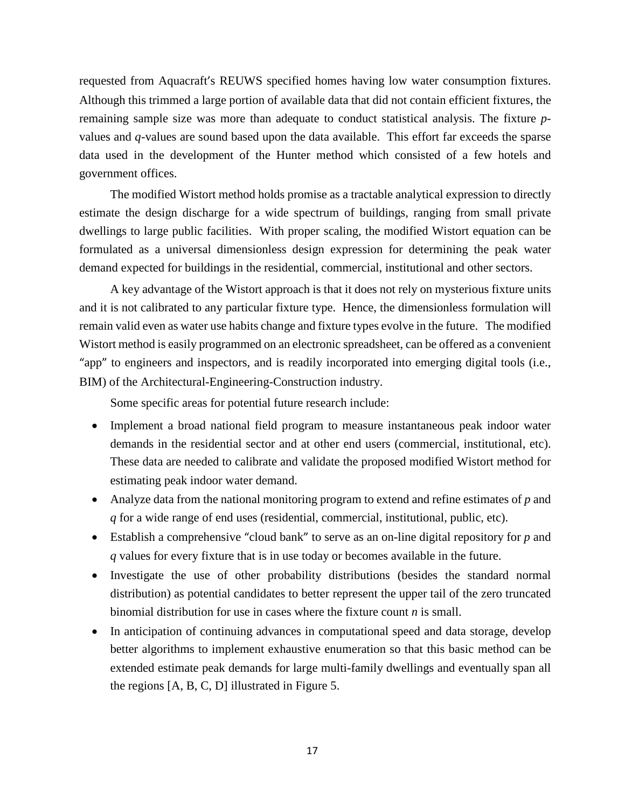requested from Aquacraft's REUWS specified homes having low water consumption fixtures. Although this trimmed a large portion of available data that did not contain efficient fixtures, the remaining sample size was more than adequate to conduct statistical analysis. The fixture *p*values and *q*-values are sound based upon the data available. This effort far exceeds the sparse data used in the development of the Hunter method which consisted of a few hotels and government offices.

The modified Wistort method holds promise as a tractable analytical expression to directly estimate the design discharge for a wide spectrum of buildings, ranging from small private dwellings to large public facilities. With proper scaling, the modified Wistort equation can be formulated as a universal dimensionless design expression for determining the peak water demand expected for buildings in the residential, commercial, institutional and other sectors.

A key advantage of the Wistort approach is that it does not rely on mysterious fixture units and it is not calibrated to any particular fixture type. Hence, the dimensionless formulation will remain valid even as water use habits change and fixture types evolve in the future. The modified Wistort method is easily programmed on an electronic spreadsheet, can be offered as a convenient "app" to engineers and inspectors, and is readily incorporated into emerging digital tools (i.e., BIM) of the Architectural-Engineering-Construction industry.

Some specific areas for potential future research include:

- Implement a broad national field program to measure instantaneous peak indoor water demands in the residential sector and at other end users (commercial, institutional, etc). These data are needed to calibrate and validate the proposed modified Wistort method for estimating peak indoor water demand.
- Analyze data from the national monitoring program to extend and refine estimates of *p* and *q* for a wide range of end uses (residential, commercial, institutional, public, etc).
- Establish a comprehensive "cloud bank" to serve as an on-line digital repository for *p* and *q* values for every fixture that is in use today or becomes available in the future.
- Investigate the use of other probability distributions (besides the standard normal distribution) as potential candidates to better represent the upper tail of the zero truncated binomial distribution for use in cases where the fixture count *n* is small.
- In anticipation of continuing advances in computational speed and data storage, develop better algorithms to implement exhaustive enumeration so that this basic method can be extended estimate peak demands for large multi-family dwellings and eventually span all the regions [A, B, C, D] illustrated in Figure 5.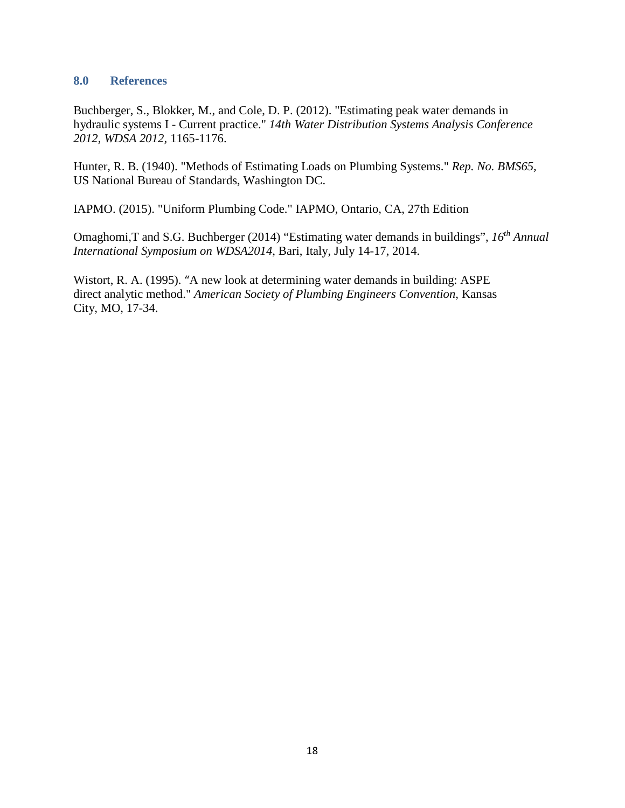#### <span id="page-21-0"></span>**8.0 References**

Buchberger, S., Blokker, M., and Cole, D. P. (2012). "Estimating peak water demands in hydraulic systems I - Current practice." *14th Water Distribution Systems Analysis Conference 2012, WDSA 2012,* 1165-1176.

Hunter, R. B. (1940). "Methods of Estimating Loads on Plumbing Systems." *Rep. No. BMS65,* US National Bureau of Standards, Washington DC.

IAPMO. (2015). "Uniform Plumbing Code." IAPMO, Ontario, CA, 27th Edition

Omaghomi,T and S.G. Buchberger (2014) "Estimating water demands in buildings", *16th Annual International Symposium on WDSA2014*, Bari, Italy, July 14-17, 2014.

Wistort, R. A. (1995). "A new look at determining water demands in building: ASPE direct analytic method." *American Society of Plumbing Engineers Convention,* Kansas City, MO, 17-34.